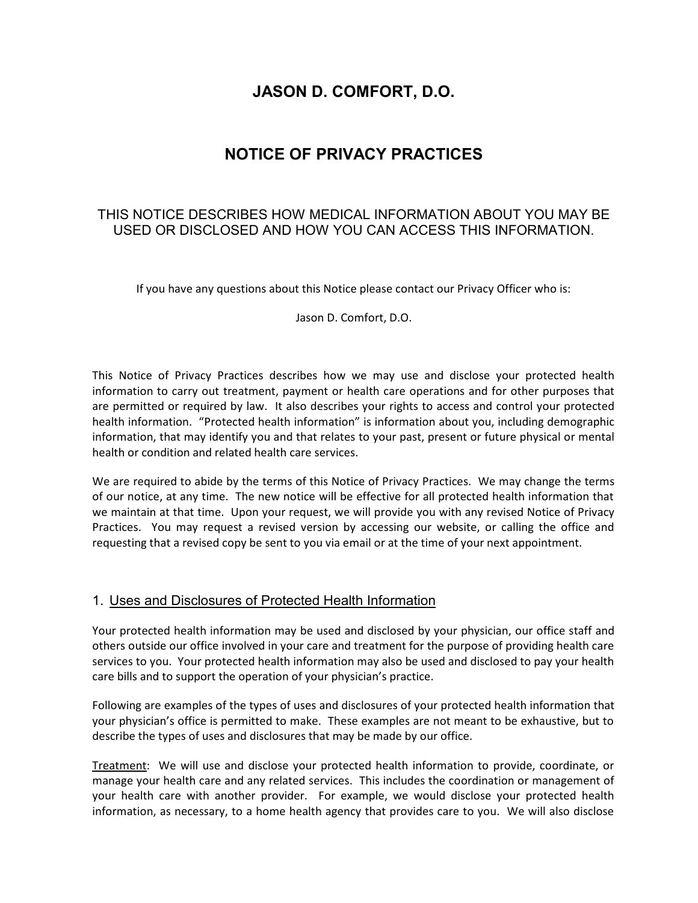# **JASON D. COMFORT, D.O.**

# **NOTICE OF PRIVACY PRACTICES**

### THIS NOTICE DESCRIBES HOW MEDICAL INFORMATION ABOUT YOU MAY BE USED OR DISCLOSED AND HOW YOU CAN ACCESS THIS INFORMATION.

If you have any questions about this Notice please contact our Privacy Officer who is:

Jason D. Comfort, D.O.

This Notice of Privacy Practices describes how we may use and disclose your protected health information to carry out treatment, payment or health care operations and for other purposes that are permitted or required by law. It also describes your rights to access and control your protected health information. "Protected health information" is information about you, including demographic information, that may identify you and that relates to your past, present or future physical or mental health or condition and related health care services.

We are required to abide by the terms of this Notice of Privacy Practices. We may change the terms of our notice, at any time. The new notice will be effective for all protected health information that we maintain at that time. Upon your request, we will provide you with any revised Notice of Privacy Practices. You may request a revised version by accessing our website, or calling the office and requesting that a revised copy be sent to you via email or at the time of your next appointment.

#### 1. Uses and Disclosures of Protected Health Information

Your protected health information may be used and disclosed by your physician, our office staff and others outside our office involved in your care and treatment for the purpose of providing health care services to you. Your protected health information may also be used and disclosed to pay your health care bills and to support the operation of your physician's practice.

Following are examples of the types of uses and disclosures of your protected health information that your physician's office is permitted to make. These examples are not meant to be exhaustive, but to describe the types of uses and disclosures that may be made by our office.

Treatment: We will use and disclose your protected health information to provide, coordinate, or manage your health care and any related services. This includes the coordination or management of your health care with another provider. For example, we would disclose your protected health information, as necessary, to a home health agency that provides care to you. We will also disclose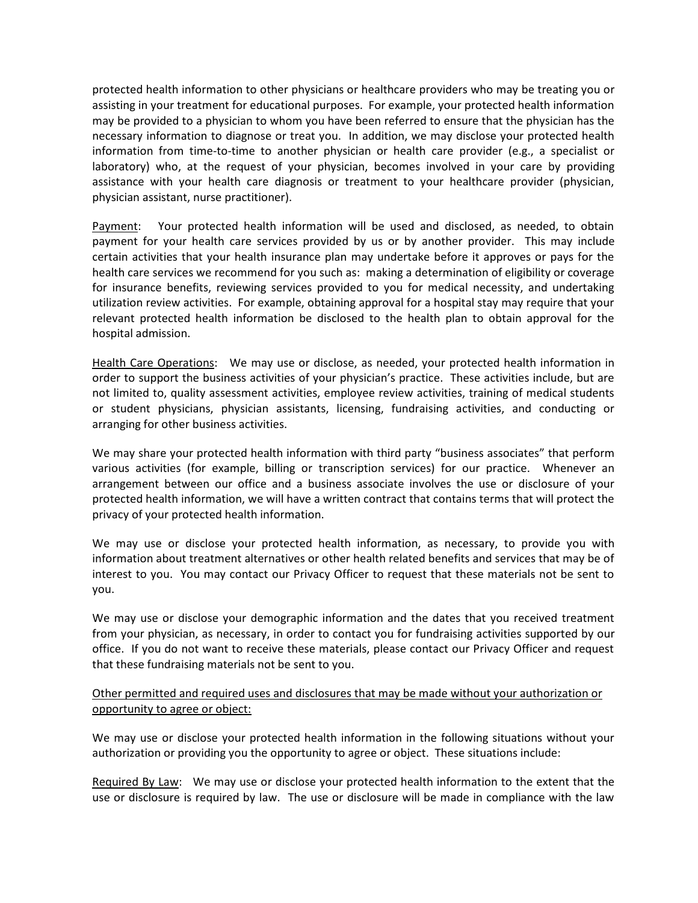protected health information to other physicians or healthcare providers who may be treating you or assisting in your treatment for educational purposes. For example, your protected health information may be provided to a physician to whom you have been referred to ensure that the physician has the necessary information to diagnose or treat you. In addition, we may disclose your protected health information from time-to-time to another physician or health care provider (e.g., a specialist or laboratory) who, at the request of your physician, becomes involved in your care by providing assistance with your health care diagnosis or treatment to your healthcare provider (physician, physician assistant, nurse practitioner).

Payment: Your protected health information will be used and disclosed, as needed, to obtain payment for your health care services provided by us or by another provider. This may include certain activities that your health insurance plan may undertake before it approves or pays for the health care services we recommend for you such as: making a determination of eligibility or coverage for insurance benefits, reviewing services provided to you for medical necessity, and undertaking utilization review activities. For example, obtaining approval for a hospital stay may require that your relevant protected health information be disclosed to the health plan to obtain approval for the hospital admission.

Health Care Operations: We may use or disclose, as needed, your protected health information in order to support the business activities of your physician's practice. These activities include, but are not limited to, quality assessment activities, employee review activities, training of medical students or student physicians, physician assistants, licensing, fundraising activities, and conducting or arranging for other business activities.

We may share your protected health information with third party "business associates" that perform various activities (for example, billing or transcription services) for our practice. Whenever an arrangement between our office and a business associate involves the use or disclosure of your protected health information, we will have a written contract that contains terms that will protect the privacy of your protected health information.

We may use or disclose your protected health information, as necessary, to provide you with information about treatment alternatives or other health related benefits and services that may be of interest to you. You may contact our Privacy Officer to request that these materials not be sent to you.

We may use or disclose your demographic information and the dates that you received treatment from your physician, as necessary, in order to contact you for fundraising activities supported by our office. If you do not want to receive these materials, please contact our Privacy Officer and request that these fundraising materials not be sent to you.

#### Other permitted and required uses and disclosures that may be made without your authorization or opportunity to agree or object:

We may use or disclose your protected health information in the following situations without your authorization or providing you the opportunity to agree or object. These situations include:

Required By Law: We may use or disclose your protected health information to the extent that the use or disclosure is required by law. The use or disclosure will be made in compliance with the law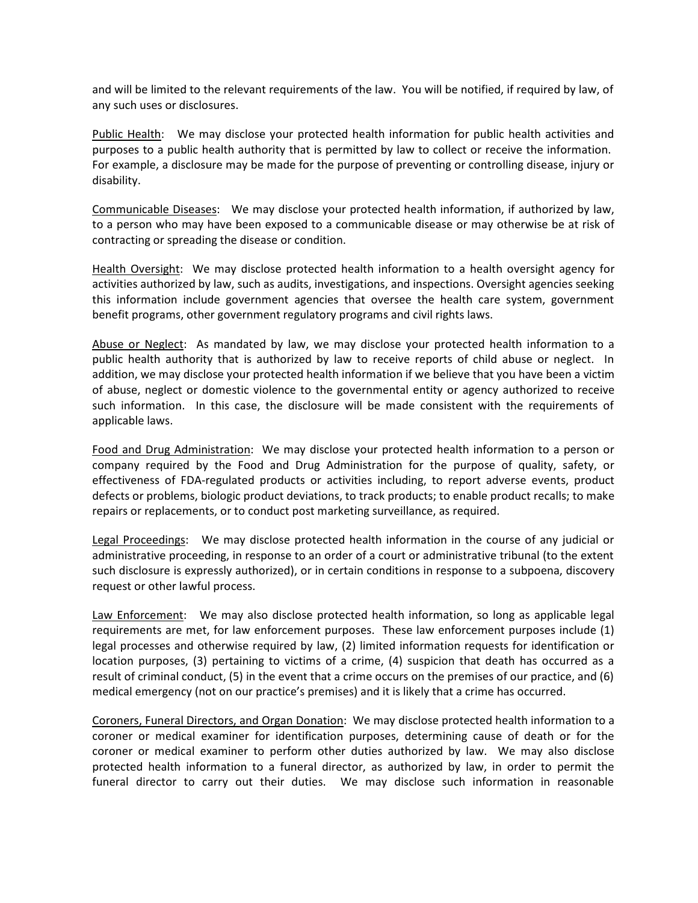and will be limited to the relevant requirements of the law. You will be notified, if required by law, of any such uses or disclosures.

Public Health: We may disclose your protected health information for public health activities and purposes to a public health authority that is permitted by law to collect or receive the information. For example, a disclosure may be made for the purpose of preventing or controlling disease, injury or disability.

Communicable Diseases: We may disclose your protected health information, if authorized by law, to a person who may have been exposed to a communicable disease or may otherwise be at risk of contracting or spreading the disease or condition.

Health Oversight: We may disclose protected health information to a health oversight agency for activities authorized by law, such as audits, investigations, and inspections. Oversight agencies seeking this information include government agencies that oversee the health care system, government benefit programs, other government regulatory programs and civil rights laws.

Abuse or Neglect: As mandated by law, we may disclose your protected health information to a public health authority that is authorized by law to receive reports of child abuse or neglect. In addition, we may disclose your protected health information if we believe that you have been a victim of abuse, neglect or domestic violence to the governmental entity or agency authorized to receive such information. In this case, the disclosure will be made consistent with the requirements of applicable laws.

Food and Drug Administration: We may disclose your protected health information to a person or company required by the Food and Drug Administration for the purpose of quality, safety, or effectiveness of FDA-regulated products or activities including, to report adverse events, product defects or problems, biologic product deviations, to track products; to enable product recalls; to make repairs or replacements, or to conduct post marketing surveillance, as required.

Legal Proceedings: We may disclose protected health information in the course of any judicial or administrative proceeding, in response to an order of a court or administrative tribunal (to the extent such disclosure is expressly authorized), or in certain conditions in response to a subpoena, discovery request or other lawful process.

Law Enforcement: We may also disclose protected health information, so long as applicable legal requirements are met, for law enforcement purposes. These law enforcement purposes include (1) legal processes and otherwise required by law, (2) limited information requests for identification or location purposes, (3) pertaining to victims of a crime, (4) suspicion that death has occurred as a result of criminal conduct, (5) in the event that a crime occurs on the premises of our practice, and (6) medical emergency (not on our practice's premises) and it is likely that a crime has occurred.

Coroners, Funeral Directors, and Organ Donation: We may disclose protected health information to a coroner or medical examiner for identification purposes, determining cause of death or for the coroner or medical examiner to perform other duties authorized by law. We may also disclose protected health information to a funeral director, as authorized by law, in order to permit the funeral director to carry out their duties. We may disclose such information in reasonable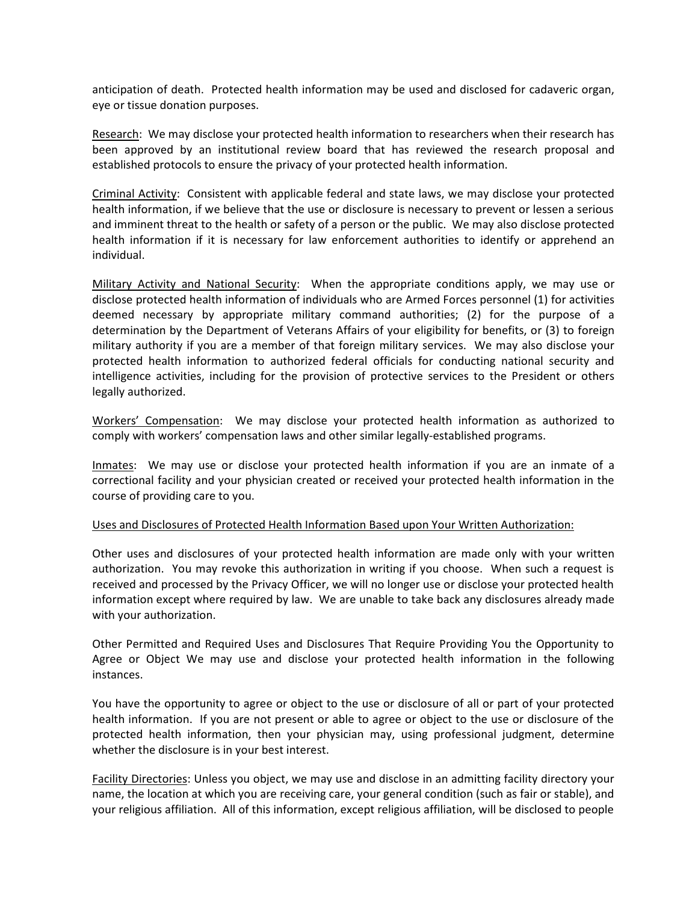anticipation of death. Protected health information may be used and disclosed for cadaveric organ, eye or tissue donation purposes.

Research: We may disclose your protected health information to researchers when their research has been approved by an institutional review board that has reviewed the research proposal and established protocols to ensure the privacy of your protected health information.

Criminal Activity: Consistent with applicable federal and state laws, we may disclose your protected health information, if we believe that the use or disclosure is necessary to prevent or lessen a serious and imminent threat to the health or safety of a person or the public. We may also disclose protected health information if it is necessary for law enforcement authorities to identify or apprehend an individual.

Military Activity and National Security: When the appropriate conditions apply, we may use or disclose protected health information of individuals who are Armed Forces personnel (1) for activities deemed necessary by appropriate military command authorities; (2) for the purpose of a determination by the Department of Veterans Affairs of your eligibility for benefits, or (3) to foreign military authority if you are a member of that foreign military services. We may also disclose your protected health information to authorized federal officials for conducting national security and intelligence activities, including for the provision of protective services to the President or others legally authorized.

Workers' Compensation: We may disclose your protected health information as authorized to comply with workers' compensation laws and other similar legally-established programs.

Inmates: We may use or disclose your protected health information if you are an inmate of a correctional facility and your physician created or received your protected health information in the course of providing care to you.

#### Uses and Disclosures of Protected Health Information Based upon Your Written Authorization:

Other uses and disclosures of your protected health information are made only with your written authorization. You may revoke this authorization in writing if you choose. When such a request is received and processed by the Privacy Officer, we will no longer use or disclose your protected health information except where required by law. We are unable to take back any disclosures already made with your authorization.

Other Permitted and Required Uses and Disclosures That Require Providing You the Opportunity to Agree or Object We may use and disclose your protected health information in the following instances.

You have the opportunity to agree or object to the use or disclosure of all or part of your protected health information. If you are not present or able to agree or object to the use or disclosure of the protected health information, then your physician may, using professional judgment, determine whether the disclosure is in your best interest.

Facility Directories: Unless you object, we may use and disclose in an admitting facility directory your name, the location at which you are receiving care, your general condition (such as fair or stable), and your religious affiliation. All of this information, except religious affiliation, will be disclosed to people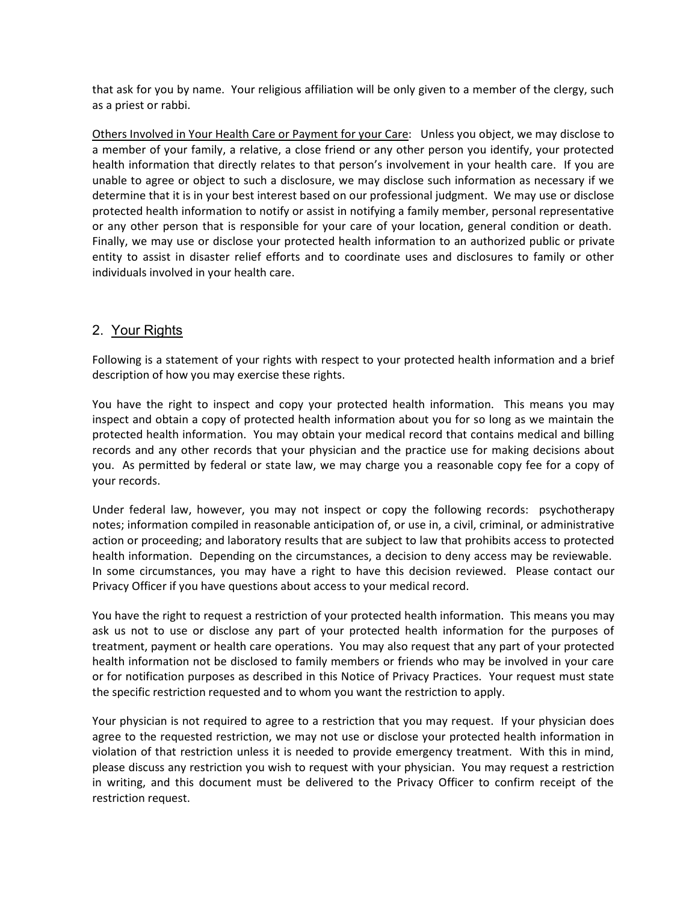that ask for you by name. Your religious affiliation will be only given to a member of the clergy, such as a priest or rabbi.

Others Involved in Your Health Care or Payment for your Care: Unless you object, we may disclose to a member of your family, a relative, a close friend or any other person you identify, your protected health information that directly relates to that person's involvement in your health care. If you are unable to agree or object to such a disclosure, we may disclose such information as necessary if we determine that it is in your best interest based on our professional judgment. We may use or disclose protected health information to notify or assist in notifying a family member, personal representative or any other person that is responsible for your care of your location, general condition or death. Finally, we may use or disclose your protected health information to an authorized public or private entity to assist in disaster relief efforts and to coordinate uses and disclosures to family or other individuals involved in your health care.

### 2. Your Rights

Following is a statement of your rights with respect to your protected health information and a brief description of how you may exercise these rights.

You have the right to inspect and copy your protected health information. This means you may inspect and obtain a copy of protected health information about you for so long as we maintain the protected health information. You may obtain your medical record that contains medical and billing records and any other records that your physician and the practice use for making decisions about you. As permitted by federal or state law, we may charge you a reasonable copy fee for a copy of your records.

Under federal law, however, you may not inspect or copy the following records: psychotherapy notes; information compiled in reasonable anticipation of, or use in, a civil, criminal, or administrative action or proceeding; and laboratory results that are subject to law that prohibits access to protected health information. Depending on the circumstances, a decision to deny access may be reviewable. In some circumstances, you may have a right to have this decision reviewed. Please contact our Privacy Officer if you have questions about access to your medical record.

You have the right to request a restriction of your protected health information. This means you may ask us not to use or disclose any part of your protected health information for the purposes of treatment, payment or health care operations. You may also request that any part of your protected health information not be disclosed to family members or friends who may be involved in your care or for notification purposes as described in this Notice of Privacy Practices. Your request must state the specific restriction requested and to whom you want the restriction to apply.

Your physician is not required to agree to a restriction that you may request. If your physician does agree to the requested restriction, we may not use or disclose your protected health information in violation of that restriction unless it is needed to provide emergency treatment. With this in mind, please discuss any restriction you wish to request with your physician. You may request a restriction in writing, and this document must be delivered to the Privacy Officer to confirm receipt of the restriction request.